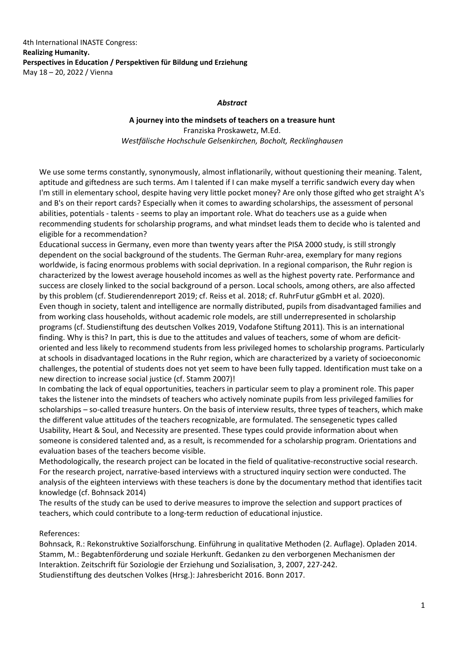4th International INASTE Congress: **Realizing Humanity. Perspectives in Education / Perspektiven für Bildung und Erziehung** May 18 – 20, 2022 / Vienna

## *Abstract*

**A journey into the mindsets of teachers on a treasure hunt** Franziska Proskawetz, M.Ed. *Westfälische Hochschule Gelsenkirchen, Bocholt, Recklinghausen*

We use some terms constantly, synonymously, almost inflationarily, without questioning their meaning. Talent, aptitude and giftedness are such terms. Am I talented if I can make myself a terrific sandwich every day when I'm still in elementary school, despite having very little pocket money? Are only those gifted who get straight A's and B's on their report cards? Especially when it comes to awarding scholarships, the assessment of personal abilities, potentials ‐ talents ‐ seems to play an important role. What do teachers use as a guide when recommending students for scholarship programs, and what mindset leads them to decide who is talented and eligible for a recommendation?

Educational success in Germany, even more than twenty years after the PISA 2000 study, is still strongly dependent on the social background of the students. The German Ruhr‐area, exemplary for many regions worldwide, is facing enormous problems with social deprivation. In a regional comparison, the Ruhr region is characterized by the lowest average household incomes as well as the highest poverty rate. Performance and success are closely linked to the social background of a person. Local schools, among others, are also affected by this problem (cf. Studierendenreport 2019; cf. Reiss et al. 2018; cf. RuhrFutur gGmbH et al. 2020). Even though in society, talent and intelligence are normally distributed, pupils from disadvantaged families and from working class households, without academic role models, are still underrepresented in scholarship programs (cf. Studienstiftung des deutschen Volkes 2019, Vodafone Stiftung 2011). This is an international finding. Why is this? In part, this is due to the attitudes and values of teachers, some of whom are deficitoriented and less likely to recommend students from less privileged homes to scholarship programs. Particularly at schools in disadvantaged locations in the Ruhr region, which are characterized by a variety of socioeconomic challenges, the potential of students does not yet seem to have been fully tapped. Identification must take on a new direction to increase social justice (cf. Stamm 2007)!

In combating the lack of equal opportunities, teachers in particular seem to play a prominent role. This paper takes the listener into the mindsets of teachers who actively nominate pupils from less privileged families for scholarships – so-called treasure hunters. On the basis of interview results, three types of teachers, which make the different value attitudes of the teachers recognizable, are formulated. The sensegenetic types called Usability, Heart & Soul, and Necessity are presented. These types could provide information about when someone is considered talented and, as a result, is recommended for a scholarship program. Orientations and evaluation bases of the teachers become visible.

Methodologically, the research project can be located in the field of qualitative-reconstructive social research. For the research project, narrative‐based interviews with a structured inquiry section were conducted. The analysis of the eighteen interviews with these teachers is done by the documentary method that identifies tacit knowledge (cf. Bohnsack 2014)

The results of the study can be used to derive measures to improve the selection and support practices of teachers, which could contribute to a long‐term reduction of educational injustice.

## References:

Bohnsack, R.: Rekonstruktive Sozialforschung. Einführung in qualitative Methoden (2. Auflage). Opladen 2014. Stamm, M.: Begabtenförderung und soziale Herkunft. Gedanken zu den verborgenen Mechanismen der Interaktion. Zeitschrift für Soziologie der Erziehung und Sozialisation, 3, 2007, 227‐242. Studienstiftung des deutschen Volkes (Hrsg.): Jahresbericht 2016. Bonn 2017.